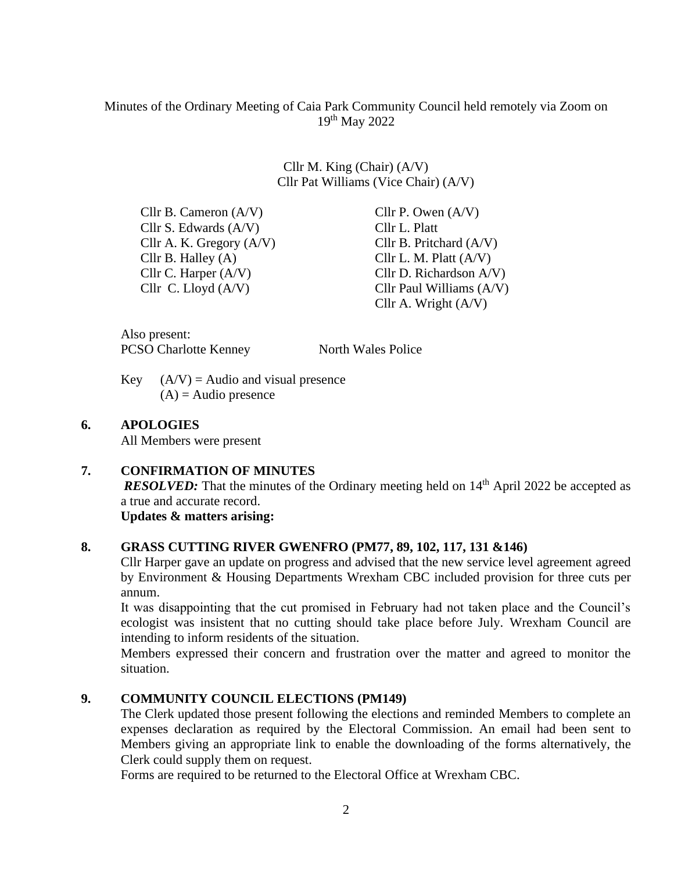## Minutes of the Ordinary Meeting of Caia Park Community Council held remotely via Zoom on 19th May 2022

Cllr M. King (Chair) (A/V) Cllr Pat Williams (Vice Chair) (A/V)

Cllr B. Cameron  $(A/V)$  Cllr P. Owen  $(A/V)$ Cllr S. Edwards (A/V) Cllr L. Platt<br>Cllr A. K. Gregory (A/V) Cllr B. Pritchard (A/V) Cllr A. K. Gregory  $(A/V)$ Cllr B. Halley  $(A)$  Cllr L. M. Platt  $(A/V)$ Cllr C. Harper (A/V) Cllr D. Richardson A/V)

 Cllr C. Lloyd (A/V) Cllr Paul Williams (A/V) Cllr A. Wright (A/V)

Also present: PCSO Charlotte Kenney North Wales Police

Key  $(A/V) =$  Audio and visual presence  $(A)$  = Audio presence

#### **6. APOLOGIES**

All Members were present

#### **7. CONFIRMATION OF MINUTES** *RESOLVED:* That the minutes of the Ordinary meeting held on 14<sup>th</sup> April 2022 be accepted as a true and accurate record.

**Updates & matters arising:**

## **8. GRASS CUTTING RIVER GWENFRO (PM77, 89, 102, 117, 131 &146)**

Cllr Harper gave an update on progress and advised that the new service level agreement agreed by Environment & Housing Departments Wrexham CBC included provision for three cuts per annum.

It was disappointing that the cut promised in February had not taken place and the Council's ecologist was insistent that no cutting should take place before July. Wrexham Council are intending to inform residents of the situation.

Members expressed their concern and frustration over the matter and agreed to monitor the situation.

## **9. COMMUNITY COUNCIL ELECTIONS (PM149)**

The Clerk updated those present following the elections and reminded Members to complete an expenses declaration as required by the Electoral Commission. An email had been sent to Members giving an appropriate link to enable the downloading of the forms alternatively, the Clerk could supply them on request.

Forms are required to be returned to the Electoral Office at Wrexham CBC.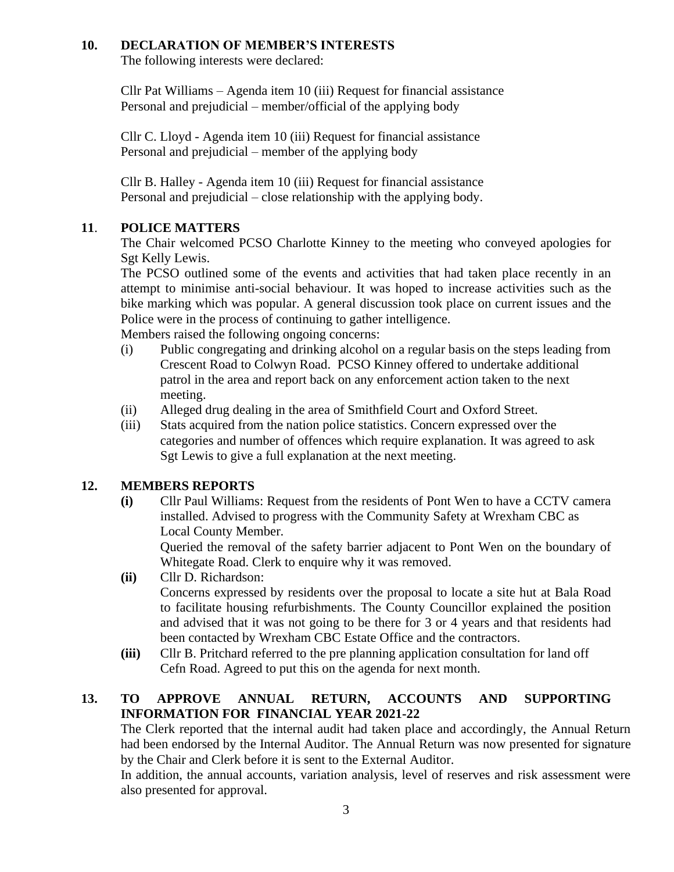## **10. DECLARATION OF MEMBER'S INTERESTS**

The following interests were declared:

Cllr Pat Williams – Agenda item 10 (iii) Request for financial assistance Personal and prejudicial – member/official of the applying body

Cllr C. Lloyd - Agenda item 10 (iii) Request for financial assistance Personal and prejudicial – member of the applying body

Cllr B. Halley - Agenda item 10 (iii) Request for financial assistance Personal and prejudicial – close relationship with the applying body.

## **11**. **POLICE MATTERS**

The Chair welcomed PCSO Charlotte Kinney to the meeting who conveyed apologies for Sgt Kelly Lewis.

The PCSO outlined some of the events and activities that had taken place recently in an attempt to minimise anti-social behaviour. It was hoped to increase activities such as the bike marking which was popular. A general discussion took place on current issues and the Police were in the process of continuing to gather intelligence.

Members raised the following ongoing concerns:

- (i) Public congregating and drinking alcohol on a regular basis on the steps leading from Crescent Road to Colwyn Road. PCSO Kinney offered to undertake additional patrol in the area and report back on any enforcement action taken to the next meeting.
- (ii) Alleged drug dealing in the area of Smithfield Court and Oxford Street.
- (iii) Stats acquired from the nation police statistics. Concern expressed over the categories and number of offences which require explanation. It was agreed to ask Sgt Lewis to give a full explanation at the next meeting.

## **12. MEMBERS REPORTS**

**(i)** Cllr Paul Williams: Request from the residents of Pont Wen to have a CCTV camera installed. Advised to progress with the Community Safety at Wrexham CBC as Local County Member.

Queried the removal of the safety barrier adjacent to Pont Wen on the boundary of Whitegate Road. Clerk to enquire why it was removed.

- **(ii)** Cllr D. Richardson: Concerns expressed by residents over the proposal to locate a site hut at Bala Road to facilitate housing refurbishments. The County Councillor explained the position and advised that it was not going to be there for 3 or 4 years and that residents had been contacted by Wrexham CBC Estate Office and the contractors.
- **(iii)** Cllr B. Pritchard referred to the pre planning application consultation for land off Cefn Road. Agreed to put this on the agenda for next month.

# **13. TO APPROVE ANNUAL RETURN, ACCOUNTS AND SUPPORTING INFORMATION FOR FINANCIAL YEAR 2021-22**

The Clerk reported that the internal audit had taken place and accordingly, the Annual Return had been endorsed by the Internal Auditor. The Annual Return was now presented for signature by the Chair and Clerk before it is sent to the External Auditor.

In addition, the annual accounts, variation analysis, level of reserves and risk assessment were also presented for approval.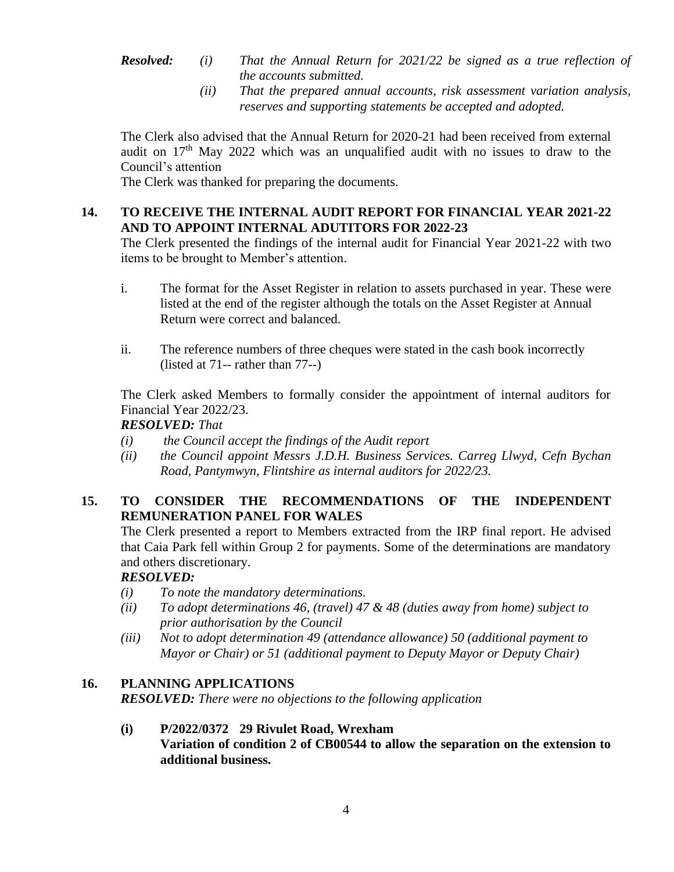- *Resolved: (i) That the Annual Return for 2021/22 be signed as a true reflection of the accounts submitted.*
	- *(ii) That the prepared annual accounts, risk assessment variation analysis, reserves and supporting statements be accepted and adopted.*

The Clerk also advised that the Annual Return for 2020-21 had been received from external audit on  $17<sup>th</sup>$  May 2022 which was an unqualified audit with no issues to draw to the Council's attention

The Clerk was thanked for preparing the documents.

## **14. TO RECEIVE THE INTERNAL AUDIT REPORT FOR FINANCIAL YEAR 2021-22 AND TO APPOINT INTERNAL ADUTITORS FOR 2022-23**

The Clerk presented the findings of the internal audit for Financial Year 2021-22 with two items to be brought to Member's attention.

- i. The format for the Asset Register in relation to assets purchased in year. These were listed at the end of the register although the totals on the Asset Register at Annual Return were correct and balanced.
- ii. The reference numbers of three cheques were stated in the cash book incorrectly (listed at 71-- rather than 77--)

The Clerk asked Members to formally consider the appointment of internal auditors for Financial Year 2022/23.

*RESOLVED: That* 

- *(i) the Council accept the findings of the Audit report*
- *(ii) the Council appoint Messrs J.D.H. Business Services. Carreg Llwyd, Cefn Bychan Road, Pantymwyn, Flintshire as internal auditors for 2022/23.*

# **15. TO CONSIDER THE RECOMMENDATIONS OF THE INDEPENDENT REMUNERATION PANEL FOR WALES**

The Clerk presented a report to Members extracted from the IRP final report. He advised that Caia Park fell within Group 2 for payments. Some of the determinations are mandatory and others discretionary.

## *RESOLVED:*

- *(i) To note the mandatory determinations.*
- *(ii) To adopt determinations 46, (travel) 47 & 48 (duties away from home) subject to prior authorisation by the Council*
- *(iii) Not to adopt determination 49 (attendance allowance) 50 (additional payment to Mayor or Chair) or 51 (additional payment to Deputy Mayor or Deputy Chair)*

## **16. PLANNING APPLICATIONS**

*RESOLVED: There were no objections to the following application*

#### **(i) P/2022/0372 29 Rivulet Road, Wrexham**

**Variation of condition 2 of CB00544 to allow the separation on the extension to additional business.**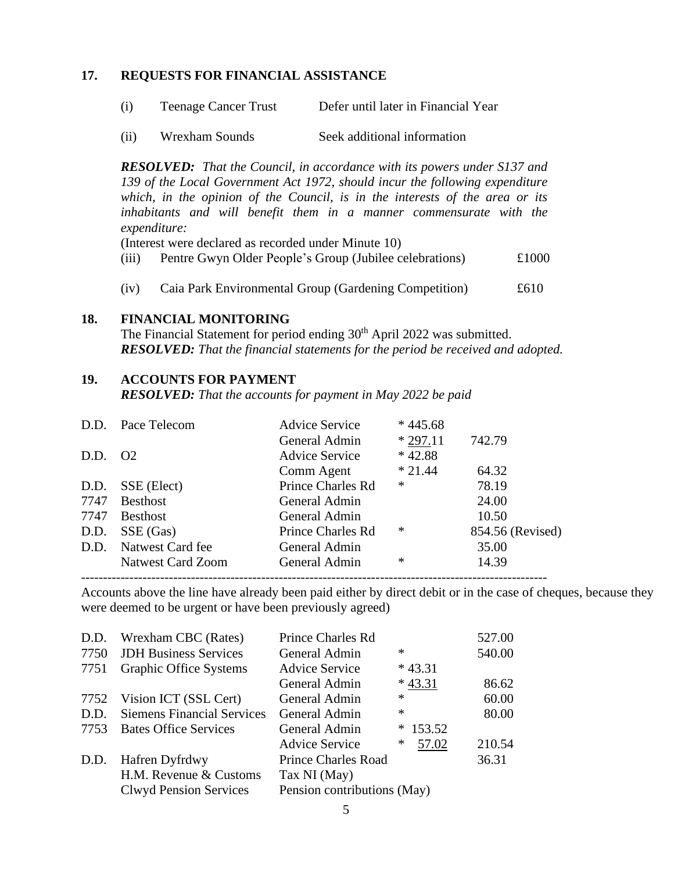#### **17. REQUESTS FOR FINANCIAL ASSISTANCE**

- (i) Teenage Cancer Trust Defer until later in Financial Year
- (ii) Wrexham Sounds Seek additional information

*RESOLVED: That the Council, in accordance with its powers under S137 and 139 of the Local Government Act 1972, should incur the following expenditure which, in the opinion of the Council, is in the interests of the area or its inhabitants and will benefit them in a manner commensurate with the expenditure:* 

(Interest were declared as recorded under Minute 10)

- (iii) Pentre Gwyn Older People's Group (Jubilee celebrations) £1000
- (iv) Caia Park Environmental Group (Gardening Competition) £610

#### **18. FINANCIAL MONITORING**

The Financial Statement for period ending 30<sup>th</sup> April 2022 was submitted. *RESOLVED: That the financial statements for the period be received and adopted.*

#### **19. ACCOUNTS FOR PAYMENT**

*RESOLVED: That the accounts for payment in May 2022 be paid*

|         | D.D. Pace Telecom        | <b>Advice Service</b> | $*445.68$ |                  |
|---------|--------------------------|-----------------------|-----------|------------------|
|         |                          | General Admin         | $*297.11$ | 742.79           |
| D.D. 02 |                          | <b>Advice Service</b> | $*42.88$  |                  |
|         |                          | Comm Agent            | $*21.44$  | 64.32            |
| D.D.    | SSE (Elect)              | Prince Charles Rd     | ∗         | 78.19            |
| 7747    | <b>Besthost</b>          | General Admin         |           | 24.00            |
| 7747    | <b>Besthost</b>          | General Admin         |           | 10.50            |
| D.D.    | SSE (Gas)                | Prince Charles Rd     | ∗         | 854.56 (Revised) |
|         | D.D. Natwest Card fee    | General Admin         |           | 35.00            |
|         | <b>Natwest Card Zoom</b> | General Admin         | $\ast$    | 14.39            |
|         |                          |                       |           |                  |

Accounts above the line have already been paid either by direct debit or in the case of cheques, because they were deemed to be urgent or have been previously agreed)

| D.D. | <b>Wrexham CBC</b> (Rates)        | Prince Charles Rd           |                  | 527.00 |
|------|-----------------------------------|-----------------------------|------------------|--------|
| 7750 | <b>JDH Business Services</b>      | General Admin               | $\ast$           | 540.00 |
| 7751 | <b>Graphic Office Systems</b>     | <b>Advice Service</b>       | $*43.31$         |        |
|      |                                   | General Admin               | $*43.31$         | 86.62  |
| 7752 | Vision ICT (SSL Cert)             | General Admin               | $\ast$           | 60.00  |
| D.D. | <b>Siemens Financial Services</b> | General Admin               | ∗                | 80.00  |
| 7753 | <b>Bates Office Services</b>      | General Admin               | 153.52<br>$\ast$ |        |
|      |                                   | <b>Advice Service</b>       | 57.02<br>∗       | 210.54 |
| D.D. | Hafren Dyfrdwy                    | <b>Prince Charles Road</b>  |                  | 36.31  |
|      | H.M. Revenue & Customs            | Tax NI (May)                |                  |        |
|      | <b>Clwyd Pension Services</b>     | Pension contributions (May) |                  |        |